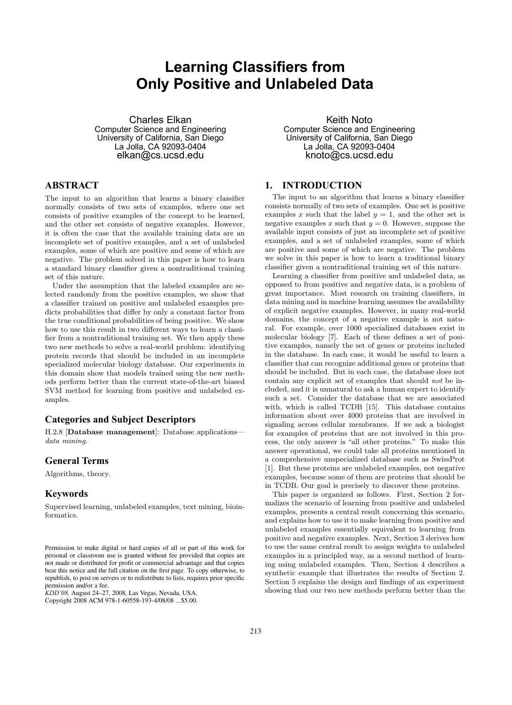# **Learning Classifiers from Only Positive and Unlabeled Data**

Charles Elkan Computer Science and Engineering University of California, San Diego La Jolla, CA 92093-0404 elkan@cs.ucsd.edu

# **ABSTRACT**

The input to an algorithm that learns a binary classifier normally consists of two sets of examples, where one set consists of positive examples of the concept to be learned, and the other set consists of negative examples. However, it is often the case that the available training data are an incomplete set of positive examples, and a set of unlabeled examples, some of which are positive and some of which are negative. The problem solved in this paper is how to learn a standard binary classifier given a nontraditional training set of this nature.

Under the assumption that the labeled examples are selected randomly from the positive examples, we show that a classifier trained on positive and unlabeled examples predicts probabilities that differ by only a constant factor from the true conditional probabilities of being positive. We show how to use this result in two different ways to learn a classifier from a nontraditional training set. We then apply these two new methods to solve a real-world problem: identifying protein records that should be included in an incomplete specialized molecular biology database. Our experiments in this domain show that models trained using the new methods perform better than the current state-of-the-art biased SVM method for learning from positive and unlabeled examples.

## **Categories and Subject Descriptors**

H.2.8 [Database management]: Database applications data mining.

#### **General Terms**

Algorithms, theory.

#### **Keywords**

Supervised learning, unlabeled examples, text mining, bioinformatics.

Copyright 2008 ACM 978-1-60558-193-4/08/08 ...\$5.00.

Keith Noto Computer Science and Engineering University of California, San Diego La Jolla, CA 92093-0404 knoto@cs.ucsd.edu

## **1. INTRODUCTION**

The input to an algorithm that learns a binary classifier consists normally of two sets of examples. One set is positive examples x such that the label  $y = 1$ , and the other set is negative examples x such that  $y = 0$ . However, suppose the available input consists of just an incomplete set of positive examples, and a set of unlabeled examples, some of which are positive and some of which are negative. The problem we solve in this paper is how to learn a traditional binary classifier given a nontraditional training set of this nature.

Learning a classifier from positive and unlabeled data, as opposed to from positive and negative data, is a problem of great importance. Most research on training classifiers, in data mining and in machine learning assumes the availability of explicit negative examples. However, in many real-world domains, the concept of a negative example is not natural. For example, over 1000 specialized databases exist in molecular biology [7]. Each of these defines a set of positive examples, namely the set of genes or proteins included in the database. In each case, it would be useful to learn a classifier that can recognize additional genes or proteins that should be included. But in each case, the database does not contain any explicit set of examples that should not be included, and it is unnatural to ask a human expert to identify such a set. Consider the database that we are associated with, which is called TCDB [15]. This database contains information about over 4000 proteins that are involved in signaling across cellular membranes. If we ask a biologist for examples of proteins that are not involved in this process, the only answer is "all other proteins." To make this answer operational, we could take all proteins mentioned in a comprehensive unspecialized database such as SwissProt [1]. But these proteins are unlabeled examples, not negative examples, because some of them are proteins that should be in TCDB. Our goal is precisely to discover these proteins.

This paper is organized as follows. First, Section 2 formalizes the scenario of learning from positive and unlabeled examples, presents a central result concerning this scenario, and explains how to use it to make learning from positive and unlabeled examples essentially equivalent to learning from positive and negative examples. Next, Section 3 derives how to use the same central result to assign weights to unlabeled examples in a principled way, as a second method of learning using unlabeled examples. Then, Section 4 describes a synthetic example that illustrates the results of Section 2. Section 5 explains the design and findings of an experiment showing that our two new methods perform better than the

Permission to make digital or hard copies of all or part of this work for personal or classroom use is granted without fee provided that copies are not made or distributed for profit or commercial advantage and that copies bear this notice and the full citation on the first page. To copy otherwise, to republish, to post on servers or to redistribute to lists, requires prior specific permission and/or a fee.

*KDD'08,* August 24–27, 2008, Las Vegas, Nevada, USA.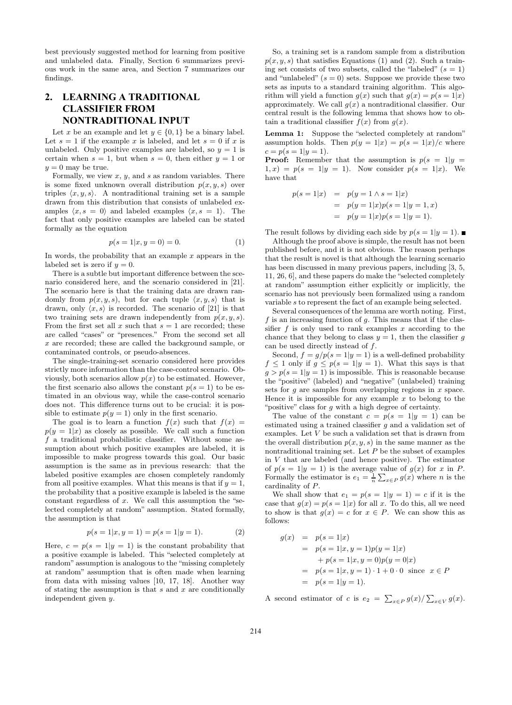best previously suggested method for learning from positive and unlabeled data. Finally, Section 6 summarizes previous work in the same area, and Section 7 summarizes our findings.

# **2. LEARNING A TRADITIONAL CLASSIFIER FROM NONTRADITIONAL INPUT**

Let x be an example and let  $y \in \{0, 1\}$  be a binary label. Let  $s = 1$  if the example x is labeled, and let  $s = 0$  if x is unlabeled. Only positive examples are labeled, so  $y = 1$  is certain when  $s = 1$ , but when  $s = 0$ , then either  $y = 1$  or  $y = 0$  may be true.

Formally, we view  $x, y$ , and  $s$  as random variables. There is some fixed unknown overall distribution  $p(x, y, s)$  over triples  $\langle x, y, s \rangle$ . A nontraditional training set is a sample drawn from this distribution that consists of unlabeled examples  $\langle x, s = 0 \rangle$  and labeled examples  $\langle x, s = 1 \rangle$ . The fact that only positive examples are labeled can be stated formally as the equation

$$
p(s = 1|x, y = 0) = 0.
$$
 (1)

In words, the probability that an example  $x$  appears in the labeled set is zero if  $y = 0$ .

There is a subtle but important difference between the scenario considered here, and the scenario considered in [21]. The scenario here is that the training data are drawn randomly from  $p(x, y, s)$ , but for each tuple  $\langle x, y, s \rangle$  that is drawn, only  $\langle x, s \rangle$  is recorded. The scenario of [21] is that two training sets are drawn independently from  $p(x, y, s)$ . From the first set all x such that  $s = 1$  are recorded; these are called "cases" or "presences." From the second set all x are recorded; these are called the background sample, or contaminated controls, or pseudo-absences.

The single-training-set scenario considered here provides strictly more information than the case-control scenario. Obviously, both scenarios allow  $p(x)$  to be estimated. However, the first scenario also allows the constant  $p(s = 1)$  to be estimated in an obvious way, while the case-control scenario does not. This difference turns out to be crucial: it is possible to estimate  $p(y = 1)$  only in the first scenario.

The goal is to learn a function  $f(x)$  such that  $f(x) =$  $p(y = 1|x)$  as closely as possible. We call such a function f a traditional probabilistic classifier. Without some assumption about which positive examples are labeled, it is impossible to make progress towards this goal. Our basic assumption is the same as in previous research: that the labeled positive examples are chosen completely randomly from all positive examples. What this means is that if  $y = 1$ , the probability that a positive example is labeled is the same constant regardless of  $x$ . We call this assumption the "selected completely at random" assumption. Stated formally, the assumption is that

$$
p(s = 1|x, y = 1) = p(s = 1|y = 1).
$$
 (2)

Here,  $c = p(s = 1|y = 1)$  is the constant probability that a positive example is labeled. This "selected completely at random" assumption is analogous to the "missing completely at random" assumption that is often made when learning from data with missing values [10, 17, 18]. Another way of stating the assumption is that  $s$  and  $x$  are conditionally independent given y.

So, a training set is a random sample from a distribution  $p(x, y, s)$  that satisfies Equations (1) and (2). Such a training set consists of two subsets, called the "labeled"  $(s = 1)$ and "unlabeled"  $(s = 0)$  sets. Suppose we provide these two sets as inputs to a standard training algorithm. This algorithm will yield a function  $g(x)$  such that  $g(x) = p(s = 1|x)$ approximately. We call  $g(x)$  a nontraditional classifier. Our central result is the following lemma that shows how to obtain a traditional classifier  $f(x)$  from  $q(x)$ .

Lemma 1: Suppose the "selected completely at random" assumption holds. Then  $p(y = 1|x) = p(s = 1|x)/c$  where  $c = p(s = 1|y = 1).$ 

**Proof:** Remember that the assumption is  $p(s = 1|y = 1)$  $1, x$  =  $p(s = 1|y = 1)$ . Now consider  $p(s = 1|x)$ . We have that

$$
p(s = 1|x) = p(y = 1 \land s = 1|x)
$$
  
=  $p(y = 1|x)p(s = 1|y = 1, x)$   
=  $p(y = 1|x)p(s = 1|y = 1).$ 

The result follows by dividing each side by  $p(s=1|y=1)$ .

Although the proof above is simple, the result has not been published before, and it is not obvious. The reason perhaps that the result is novel is that although the learning scenario has been discussed in many previous papers, including [3, 5, 11, 26, 6], and these papers do make the "selected completely at random" assumption either explicitly or implicitly, the scenario has not previously been formalized using a random variable s to represent the fact of an example being selected.

Several consequences of the lemma are worth noting. First, f is an increasing function of  $q$ . This means that if the classifier f is only used to rank examples x according to the chance that they belong to class  $y = 1$ , then the classifier q can be used directly instead of f.

Second,  $f = g/p(s = 1|y = 1)$  is a well-defined probability  $f \leq 1$  only if  $g \leq p(s=1|y=1)$ . What this says is that  $g > p(s = 1|y = 1)$  is impossible. This is reasonable because the "positive" (labeled) and "negative" (unlabeled) training sets for  $g$  are samples from overlapping regions in  $x$  space. Hence it is impossible for any example  $x$  to belong to the "positive" class for g with a high degree of certainty.

The value of the constant  $c = p(s = 1|y = 1)$  can be estimated using a trained classifier g and a validation set of examples. Let V be such a validation set that is drawn from the overall distribution  $p(x, y, s)$  in the same manner as the nontraditional training set. Let  $P$  be the subset of examples in  $V$  that are labeled (and hence positive). The estimator of  $p(s = 1|y = 1)$  is the average value of  $g(x)$  for x in P. Formally the estimator is  $e_1 = \frac{1}{n} \sum_{x \in P} g(x)$  where *n* is the cardinality of P.

We shall show that  $e_1 = p(s = 1|y = 1) = c$  if it is the case that  $g(x) = p(s = 1|x)$  for all x. To do this, all we need to show is that  $g(x) = c$  for  $x \in P$ . We can show this as follows:

$$
g(x) = p(s = 1|x) \n= p(s = 1|x, y = 1)p(y = 1|x) \n+ p(s = 1|x, y = 0)p(y = 0|x) \n= p(s = 1|x, y = 1) \cdot 1 + 0 \cdot 0 \text{ since } x \in P \n= p(s = 1|y = 1).
$$

A second estimator of c is  $e_2 = \sum_{x \in P} g(x) / \sum_{x \in V} g(x)$ .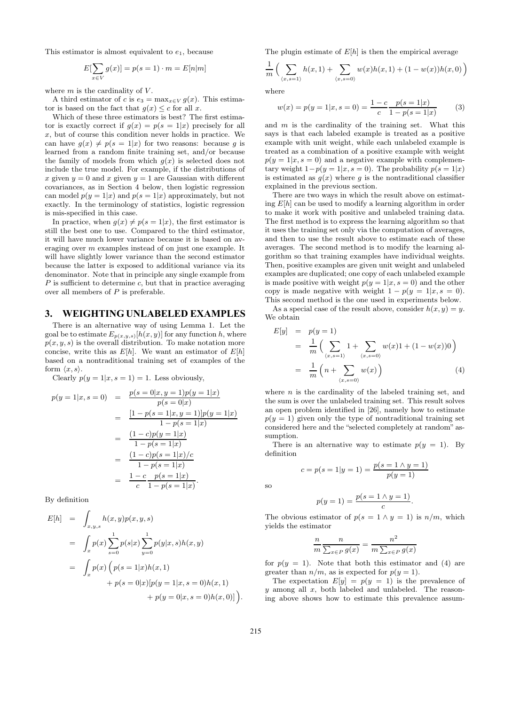This estimator is almost equivalent to  $e_1$ , because

$$
E[\sum_{x \in V} g(x)] = p(s = 1) \cdot m = E[n|m]
$$

where  $m$  is the cardinality of  $V$ .

A third estimator of c is  $e_3 = \max_{x \in V} g(x)$ . This estimator is based on the fact that  $g(x) \leq c$  for all x.

Which of these three estimators is best? The first estimator is exactly correct if  $q(x) = p(s = 1|x)$  precisely for all x, but of course this condition never holds in practice. We can have  $g(x) \neq p(s = 1|x)$  for two reasons: because g is learned from a random finite training set, and/or because the family of models from which  $g(x)$  is selected does not include the true model. For example, if the distributions of x given  $y = 0$  and x given  $y = 1$  are Gaussian with different covariances, as in Section 4 below, then logistic regression can model  $p(y = 1|x)$  and  $p(s = 1|x)$  approximately, but not exactly. In the terminology of statistics, logistic regression is mis-specified in this case.

In practice, when  $g(x) \neq p(s = 1|x)$ , the first estimator is still the best one to use. Compared to the third estimator, it will have much lower variance because it is based on averaging over m examples instead of on just one example. It will have slightly lower variance than the second estimator because the latter is exposed to additional variance via its denominator. Note that in principle any single example from  $P$  is sufficient to determine  $c$ , but that in practice averaging over all members of P is preferable.

#### **3. WEIGHTING UNLABELED EXAMPLES**

There is an alternative way of using Lemma 1. Let the goal be to estimate  $E_{p(x,y,s)}[h(x,y)]$  for any function h, where  $p(x, y, s)$  is the overall distribution. To make notation more concise, write this as  $E[h]$ . We want an estimator of  $E[h]$ based on a nontraditional training set of examples of the form  $\langle x, s \rangle$ .

Clearly  $p(y = 1|x, s = 1) = 1$ . Less obviously,

$$
p(y = 1|x, s = 0) = \frac{p(s = 0|x, y = 1)p(y = 1|x)}{p(s = 0|x)}
$$
  
= 
$$
\frac{[1 - p(s = 1|x, y = 1)]p(y = 1|x)}{1 - p(s = 1|x)}
$$
  
= 
$$
\frac{(1 - c)p(y = 1|x)}{1 - p(s = 1|x)}
$$
  
= 
$$
\frac{(1 - c)p(s = 1|x)/c}{1 - p(s = 1|x)}
$$
  
= 
$$
\frac{1 - c}{c} \frac{p(s = 1|x)}{1 - p(s = 1|x)}.
$$

By definition

$$
E[h] = \int_{x,y,s} h(x,y)p(x,y,s)
$$
  
= 
$$
\int_x p(x) \sum_{s=0}^1 p(s|x) \sum_{y=0}^1 p(y|x,s)h(x,y)
$$
  
= 
$$
\int_x p(x) (p(s = 1|x)h(x,1)
$$
  
+ 
$$
p(s = 0|x)[p(y = 1|x, s = 0)h(x,1)
$$
  
+ 
$$
p(y = 0|x, s = 0)h(x,0)]
$$

The plugin estimate of  $E[h]$  is then the empirical average

$$
\frac{1}{m}\left(\sum_{\langle x,s=1\rangle}h(x,1)+\sum_{\langle x,s=0\rangle}w(x)h(x,1)+(1-w(x))h(x,0)\right)
$$

where

$$
w(x) = p(y = 1|x, s = 0) = \frac{1 - c}{c} \frac{p(s = 1|x)}{1 - p(s = 1|x)}
$$
(3)

and  $m$  is the cardinality of the training set. What this says is that each labeled example is treated as a positive example with unit weight, while each unlabeled example is treated as a combination of a positive example with weight  $p(y = 1|x, s = 0)$  and a negative example with complementary weight  $1-p(y=1|x, s=0)$ . The probability  $p(s=1|x)$ is estimated as  $g(x)$  where g is the nontraditional classifier explained in the previous section.

There are two ways in which the result above on estimating  $E[h]$  can be used to modify a learning algorithm in order to make it work with positive and unlabeled training data. The first method is to express the learning algorithm so that it uses the training set only via the computation of averages, and then to use the result above to estimate each of these averages. The second method is to modify the learning algorithm so that training examples have individual weights. Then, positive examples are given unit weight and unlabeled examples are duplicated; one copy of each unlabeled example is made positive with weight  $p(y = 1|x, s = 0)$  and the other copy is made negative with weight  $1 - p(y = 1|x, s = 0)$ . This second method is the one used in experiments below.

As a special case of the result above, consider  $h(x, y) = y$ . We obtain

$$
E[y] = p(y = 1)
$$
  
=  $\frac{1}{m} \left( \sum_{(x,s=1)} 1 + \sum_{(x,s=0)} w(x)1 + (1 - w(x))0 \right)$   
=  $\frac{1}{m} \left( n + \sum_{(x,s=0)} w(x) \right)$  (4)

where  $n$  is the cardinality of the labeled training set, and the sum is over the unlabeled training set. This result solves an open problem identified in [26], namely how to estimate  $p(y = 1)$  given only the type of nontraditional training set considered here and the "selected completely at random" assumption.

There is an alternative way to estimate  $p(y = 1)$ . By definition

 $c = p(s = 1|y = 1) = \frac{p(s = 1 \land y = 1)}{p(y = 1)}$ 

so

$$
p(y = 1) = \frac{p(s = 1 \land y = 1)}{c}.
$$

The obvious estimator of  $p(s = 1 \land y = 1)$  is  $n/m$ , which yields the estimator

$$
\frac{n}{m} \frac{n}{\sum_{x \in P} g(x)} = \frac{n^2}{m \sum_{x \in P} g(x)}
$$

for  $p(y = 1)$ . Note that both this estimator and (4) are greater than  $n/m$ , as is expected for  $p(y = 1)$ .

The expectation  $E[y] = p(y = 1)$  is the prevalence of  $y$  among all  $x$ , both labeled and unlabeled. The reasoning above shows how to estimate this prevalence assum-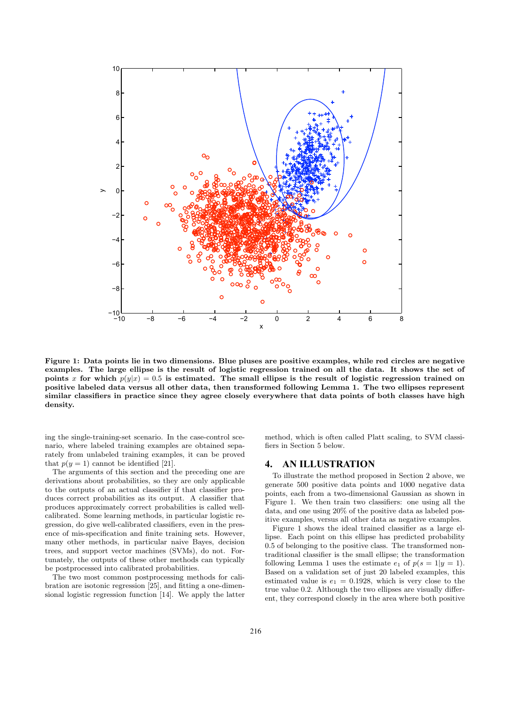

Figure 1: Data points lie in two dimensions. Blue pluses are positive examples, while red circles are negative examples. The large ellipse is the result of logistic regression trained on all the data. It shows the set of points x for which  $p(y|x) = 0.5$  is estimated. The small ellipse is the result of logistic regression trained on positive labeled data versus all other data, then transformed following Lemma 1. The two ellipses represent similar classifiers in practice since they agree closely everywhere that data points of both classes have high density.

ing the single-training-set scenario. In the case-control scenario, where labeled training examples are obtained separately from unlabeled training examples, it can be proved that  $p(y = 1)$  cannot be identified [21].

The arguments of this section and the preceding one are derivations about probabilities, so they are only applicable to the outputs of an actual classifier if that classifier produces correct probabilities as its output. A classifier that produces approximately correct probabilities is called wellcalibrated. Some learning methods, in particular logistic regression, do give well-calibrated classifiers, even in the presence of mis-specification and finite training sets. However, many other methods, in particular naive Bayes, decision trees, and support vector machines (SVMs), do not. Fortunately, the outputs of these other methods can typically be postprocessed into calibrated probabilities.

The two most common postprocessing methods for calibration are isotonic regression [25], and fitting a one-dimensional logistic regression function [14]. We apply the latter method, which is often called Platt scaling, to SVM classifiers in Section 5 below.

# **4. AN ILLUSTRATION**

To illustrate the method proposed in Section 2 above, we generate 500 positive data points and 1000 negative data points, each from a two-dimensional Gaussian as shown in Figure 1. We then train two classifiers: one using all the data, and one using 20% of the positive data as labeled positive examples, versus all other data as negative examples.

Figure 1 shows the ideal trained classifier as a large ellipse. Each point on this ellipse has predicted probability 0.5 of belonging to the positive class. The transformed nontraditional classifier is the small ellipse; the transformation following Lemma 1 uses the estimate  $e_1$  of  $p(s = 1|y = 1)$ . Based on a validation set of just 20 labeled examples, this estimated value is  $e_1 = 0.1928$ , which is very close to the true value 0.2. Although the two ellipses are visually different, they correspond closely in the area where both positive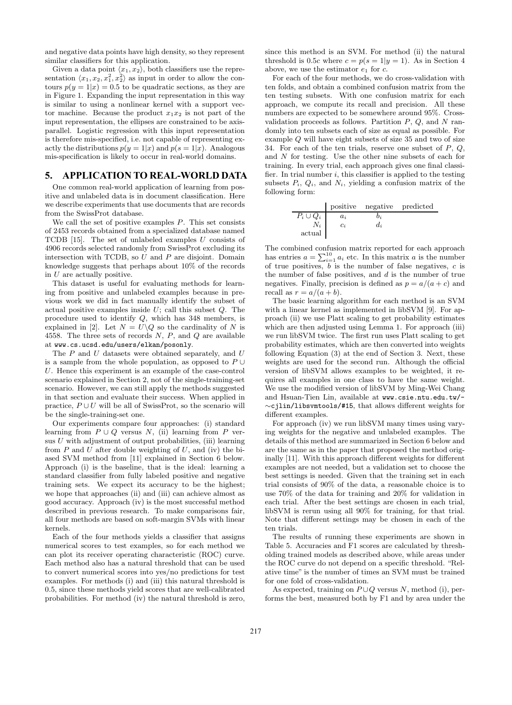and negative data points have high density, so they represent similar classifiers for this application.

Given a data point  $\langle x_1, x_2 \rangle$ , both classifiers use the representation  $\langle x_1, x_2, x_1^2, x_2^2 \rangle$  as input in order to allow the contours  $p(y = 1|x) = 0.5$  to be quadratic sections, as they are in Figure 1. Expanding the input representation in this way is similar to using a nonlinear kernel with a support vector machine. Because the product  $x_1x_2$  is not part of the input representation, the ellipses are constrained to be axisparallel. Logistic regression with this input representation is therefore mis-specified, i.e. not capable of representing exactly the distributions  $p(y = 1|x)$  and  $p(s = 1|x)$ . Analogous mis-specification is likely to occur in real-world domains.

#### **5. APPLICATION TO REAL-WORLD DATA**

One common real-world application of learning from positive and unlabeled data is in document classification. Here we describe experiments that use documents that are records from the SwissProt database.

We call the set of positive examples  $P$ . This set consists of 2453 records obtained from a specialized database named TCDB  $[15]$ . The set of unlabeled examples U consists of 4906 records selected randomly from SwissProt excluding its intersection with TCDB, so  $U$  and  $P$  are disjoint. Domain knowledge suggests that perhaps about 10% of the records in  $U$  are actually positive.

This dataset is useful for evaluating methods for learning from positive and unlabeled examples because in previous work we did in fact manually identify the subset of actual positive examples inside  $U$ ; call this subset  $Q$ . The procedure used to identify Q, which has 348 members, is explained in [2]. Let  $N = U\setminus Q$  so the cardinality of N is 4558. The three sets of records  $N$ ,  $P$ , and  $Q$  are available at www.cs.ucsd.edu/users/elkan/posonly.

The  $P$  and  $U$  datasets were obtained separately, and  $U$ is a sample from the whole population, as opposed to  $P \cup$ U. Hence this experiment is an example of the case-control scenario explained in Section 2, not of the single-training-set scenario. However, we can still apply the methods suggested in that section and evaluate their success. When applied in practice,  $P \cup U$  will be all of SwissProt, so the scenario will be the single-training-set one.

Our experiments compare four approaches: (i) standard learning from  $P \cup Q$  versus N, (ii) learning from P versus  $U$  with adjustment of output probabilities, (iii) learning from  $P$  and  $U$  after double weighting of  $U$ , and (iv) the biased SVM method from [11] explained in Section 6 below. Approach (i) is the baseline, that is the ideal: learning a standard classifier from fully labeled positive and negative training sets. We expect its accuracy to be the highest; we hope that approaches (ii) and (iii) can achieve almost as good accuracy. Approach (iv) is the most successful method described in previous research. To make comparisons fair, all four methods are based on soft-margin SVMs with linear kernels.

Each of the four methods yields a classifier that assigns numerical scores to test examples, so for each method we can plot its receiver operating characteristic (ROC) curve. Each method also has a natural threshold that can be used to convert numerical scores into yes/no predictions for test examples. For methods (i) and (iii) this natural threshold is 0.5, since these methods yield scores that are well-calibrated probabilities. For method (iv) the natural threshold is zero, since this method is an SVM. For method (ii) the natural threshold is 0.5c where  $c = p(s = 1|y = 1)$ . As in Section 4 above, we use the estimator  $e_1$  for  $c$ .

For each of the four methods, we do cross-validation with ten folds, and obtain a combined confusion matrix from the ten testing subsets. With one confusion matrix for each approach, we compute its recall and precision. All these numbers are expected to be somewhere around 95%. Crossvalidation proceeds as follows. Partition  $P$ ,  $Q$ , and  $N$  randomly into ten subsets each of size as equal as possible. For example Q will have eight subsets of size 35 and two of size 34. For each of the ten trials, reserve one subset of  $P, Q$ , and N for testing. Use the other nine subsets of each for training. In every trial, each approach gives one final classifier. In trial number  $i$ , this classifier is applied to the testing subsets  $P_i$ ,  $Q_i$ , and  $N_i$ , yielding a confusion matrix of the following form:

|               |       | positive negative predicted |  |
|---------------|-------|-----------------------------|--|
| $P_i\cup Q_i$ | $a_i$ | Э.,                         |  |
|               | $c_i$ | $d_i$                       |  |
| actual        |       |                             |  |

The combined confusion matrix reported for each approach has entries  $a = \sum_{i=1}^{10} a_i$  etc. In this matrix a is the number of true positives,  $b$  is the number of false negatives,  $c$  is the number of false positives, and  $d$  is the number of true negatives. Finally, precision is defined as  $p = a/(a + c)$  and recall as  $r = a/(a + b)$ .

The basic learning algorithm for each method is an SVM with a linear kernel as implemented in libSVM [9]. For approach (ii) we use Platt scaling to get probability estimates which are then adjusted using Lemma 1. For approach (iii) we run libSVM twice. The first run uses Platt scaling to get probability estimates, which are then converted into weights following Equation (3) at the end of Section 3. Next, these weights are used for the second run. Although the official version of libSVM allows examples to be weighted, it requires all examples in one class to have the same weight. We use the modified version of libSVM by Ming-Wei Chang and Hsuan-Tien Lin, available at www.csie.ntu.edu.tw/- ∼cjlin/libsvmtools/#15, that allows different weights for different examples.

For approach (iv) we run libSVM many times using varying weights for the negative and unlabeled examples. The details of this method are summarized in Section 6 below and are the same as in the paper that proposed the method originally [11]. With this approach different weights for different examples are not needed, but a validation set to choose the best settings is needed. Given that the training set in each trial consists of 90% of the data, a reasonable choice is to use 70% of the data for training and 20% for validation in each trial. After the best settings are chosen in each trial, libSVM is rerun using all 90% for training, for that trial. Note that different settings may be chosen in each of the ten trials.

The results of running these experiments are shown in Table 5. Accuracies and F1 scores are calculated by thresholding trained models as described above, while areas under the ROC curve do not depend on a specific threshold. "Relative time" is the number of times an SVM must be trained for one fold of cross-validation.

As expected, training on  $P \cup Q$  versus N, method (i), performs the best, measured both by F1 and by area under the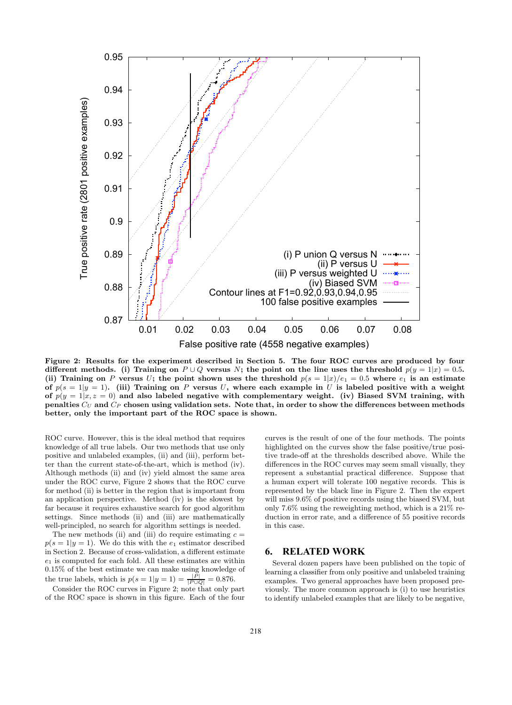

Figure 2: Results for the experiment described in Section 5. The four ROC curves are produced by four different methods. (i) Training on  $P \cup Q$  versus N; the point on the line uses the threshold  $p(y = 1|x) = 0.5$ . (ii) Training on P versus U; the point shown uses the threshold  $p(s = 1|x)/e_1 = 0.5$  where  $e_1$  is an estimate of  $p(s = 1|y = 1)$ . (iii) Training on P versus U, where each example in U is labeled positive with a weight of  $p(y = 1|x, z = 0)$  and also labeled negative with complementary weight. (iv) Biased SVM training, with penalties  $C_U$  and  $C_P$  chosen using validation sets. Note that, in order to show the differences between methods better, only the important part of the ROC space is shown.

ROC curve. However, this is the ideal method that requires knowledge of all true labels. Our two methods that use only positive and unlabeled examples, (ii) and (iii), perform better than the current state-of-the-art, which is method (iv). Although methods (ii) and (iv) yield almost the same area under the ROC curve, Figure 2 shows that the ROC curve for method (ii) is better in the region that is important from an application perspective. Method (iv) is the slowest by far because it requires exhaustive search for good algorithm settings. Since methods (ii) and (iii) are mathematically well-principled, no search for algorithm settings is needed.

The new methods (ii) and (iii) do require estimating  $c =$  $p(s = 1|y = 1)$ . We do this with the  $e_1$  estimator described in Section 2. Because of cross-validation, a different estimate  $e_1$  is computed for each fold. All these estimates are within 0.15% of the best estimate we can make using knowledge of the true labels, which is  $p(s = 1|y = 1) = \frac{|P|}{|P \cup Q|} = 0.876$ .

Consider the ROC curves in Figure 2; note that only part of the ROC space is shown in this figure. Each of the four

curves is the result of one of the four methods. The points highlighted on the curves show the false positive/true positive trade-off at the thresholds described above. While the differences in the ROC curves may seem small visually, they represent a substantial practical difference. Suppose that a human expert will tolerate 100 negative records. This is represented by the black line in Figure 2. Then the expert will miss 9.6% of positive records using the biased SVM, but only 7.6% using the reweighting method, which is a 21% reduction in error rate, and a difference of 55 positive records in this case.

## **6. RELATED WORK**

Several dozen papers have been published on the topic of learning a classifier from only positive and unlabeled training examples. Two general approaches have been proposed previously. The more common approach is (i) to use heuristics to identify unlabeled examples that are likely to be negative,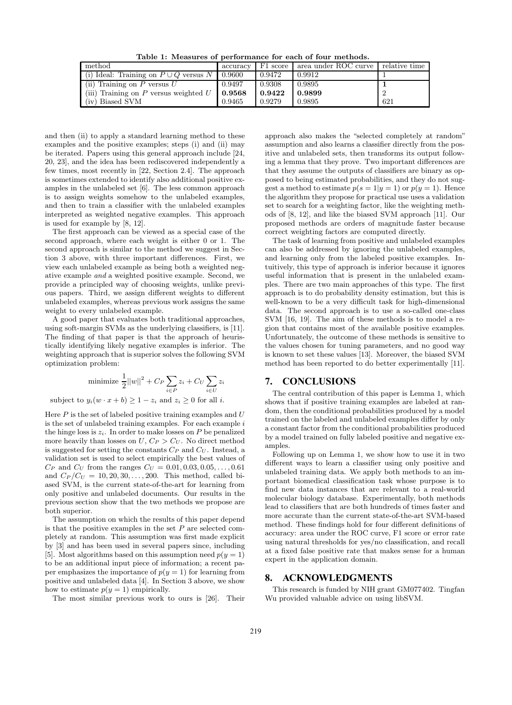Table 1: Measures of performance for each of four methods.

| method                                                   |        |        | accuracy   F1 score   area under ROC curve   relative time |     |
|----------------------------------------------------------|--------|--------|------------------------------------------------------------|-----|
| (i) Ideal: Training on $P \cup Q$ versus $N \mid 0.9600$ |        | 0.9472 | 0.9912                                                     |     |
| (ii) Training on $P$ versus $U$                          | 0.9497 | 0.9308 | 0.9895                                                     |     |
| (iii) Training on P versus weighted $U$   0.9568         |        | 0.9422 | 0.9899                                                     |     |
| (iv) Biased SVM                                          | 0.9465 | 0.9279 | 0.9895                                                     | 621 |

and then (ii) to apply a standard learning method to these examples and the positive examples; steps (i) and (ii) may be iterated. Papers using this general approach include [24, 20, 23], and the idea has been rediscovered independently a few times, most recently in [22, Section 2.4]. The approach is sometimes extended to identify also additional positive examples in the unlabeled set [6]. The less common approach is to assign weights somehow to the unlabeled examples, and then to train a classifier with the unlabeled examples interpreted as weighted negative examples. This approach is used for example by [8, 12].

The first approach can be viewed as a special case of the second approach, where each weight is either 0 or 1. The second approach is similar to the method we suggest in Section 3 above, with three important differences. First, we view each unlabeled example as being both a weighted negative example and a weighted positive example. Second, we provide a principled way of choosing weights, unlike previous papers. Third, we assign different weights to different unlabeled examples, whereas previous work assigns the same weight to every unlabeled example.

A good paper that evaluates both traditional approaches, using soft-margin SVMs as the underlying classifiers, is [11]. The finding of that paper is that the approach of heuristically identifying likely negative examples is inferior. The weighting approach that is superior solves the following SVM optimization problem:

minimize 
$$
\frac{1}{2}||w||^2 + C_P \sum_{i \in P} z_i + C_U \sum_{i \in U} z_i
$$

subject to  $y_i(w \cdot x + b) \ge 1 - z_i$  and  $z_i \ge 0$  for all *i*.

Here  $P$  is the set of labeled positive training examples and  $U$ is the set of unlabeled training examples. For each example  $i$ the hinge loss is  $z_i$ . In order to make losses on  $P$  be penalized more heavily than losses on  $U, C_P > C_U$ . No direct method is suggested for setting the constants  $C_P$  and  $C_U$ . Instead, a validation set is used to select empirically the best values of  $C_P$  and  $C_U$  from the ranges  $C_U = 0.01, 0.03, 0.05, \ldots, 0.61$ and  $C_P/C_U = 10, 20, 30, ..., 200$ . This method, called biased SVM, is the current state-of-the-art for learning from only positive and unlabeled documents. Our results in the previous section show that the two methods we propose are both superior.

The assumption on which the results of this paper depend is that the positive examples in the set  $P$  are selected completely at random. This assumption was first made explicit by [3] and has been used in several papers since, including [5]. Most algorithms based on this assumption need  $p(y = 1)$ to be an additional input piece of information; a recent paper emphasizes the importance of  $p(y = 1)$  for learning from positive and unlabeled data [4]. In Section 3 above, we show how to estimate  $p(y = 1)$  empirically.

The most similar previous work to ours is [26]. Their

approach also makes the "selected completely at random" assumption and also learns a classifier directly from the positive and unlabeled sets, then transforms its output following a lemma that they prove. Two important differences are that they assume the outputs of classifiers are binary as opposed to being estimated probabilities, and they do not suggest a method to estimate  $p(s = 1|y = 1)$  or  $p(y = 1)$ . Hence the algorithm they propose for practical use uses a validation set to search for a weighting factor, like the weighting methods of [8, 12], and like the biased SVM approach [11]. Our proposed methods are orders of magnitude faster because correct weighting factors are computed directly.

The task of learning from positive and unlabeled examples can also be addressed by ignoring the unlabeled examples, and learning only from the labeled positive examples. Intuitively, this type of approach is inferior because it ignores useful information that is present in the unlabeled examples. There are two main approaches of this type. The first approach is to do probability density estimation, but this is well-known to be a very difficult task for high-dimensional data. The second approach is to use a so-called one-class SVM [16, 19]. The aim of these methods is to model a region that contains most of the available positive examples. Unfortunately, the outcome of these methods is sensitive to the values chosen for tuning parameters, and no good way is known to set these values [13]. Moreover, the biased SVM method has been reported to do better experimentally [11].

# **7. CONCLUSIONS**

The central contribution of this paper is Lemma 1, which shows that if positive training examples are labeled at random, then the conditional probabilities produced by a model trained on the labeled and unlabeled examples differ by only a constant factor from the conditional probabilities produced by a model trained on fully labeled positive and negative examples.

Following up on Lemma 1, we show how to use it in two different ways to learn a classifier using only positive and unlabeled training data. We apply both methods to an important biomedical classification task whose purpose is to find new data instances that are relevant to a real-world molecular biology database. Experimentally, both methods lead to classifiers that are both hundreds of times faster and more accurate than the current state-of-the-art SVM-based method. These findings hold for four different definitions of accuracy: area under the ROC curve, F1 score or error rate using natural thresholds for yes/no classification, and recall at a fixed false positive rate that makes sense for a human expert in the application domain.

# **8. ACKNOWLEDGMENTS**

This research is funded by NIH grant GM077402. Tingfan Wu provided valuable advice on using libSVM.